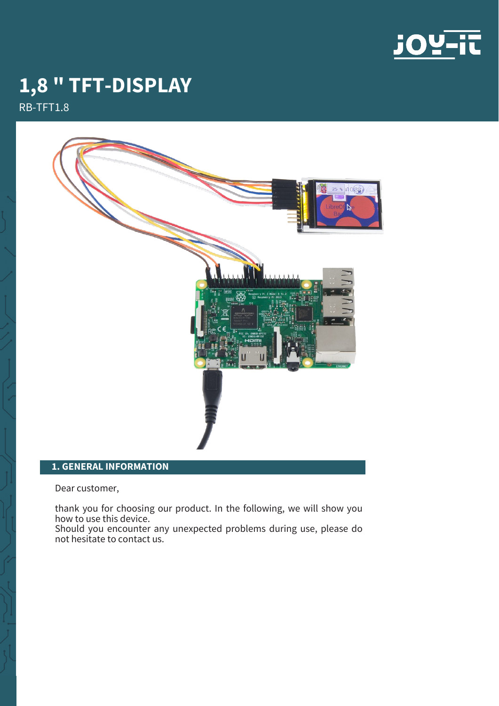

# **1,8 " TFT-DISPLAY**

RB-TFT1.8



# **1. GENERAL INFORMATION**

Dear customer,

thank you for choosing our product. In the following, we will show you how to use this device.

Should you encounter any unexpected problems during use, please do not hesitate to contact us.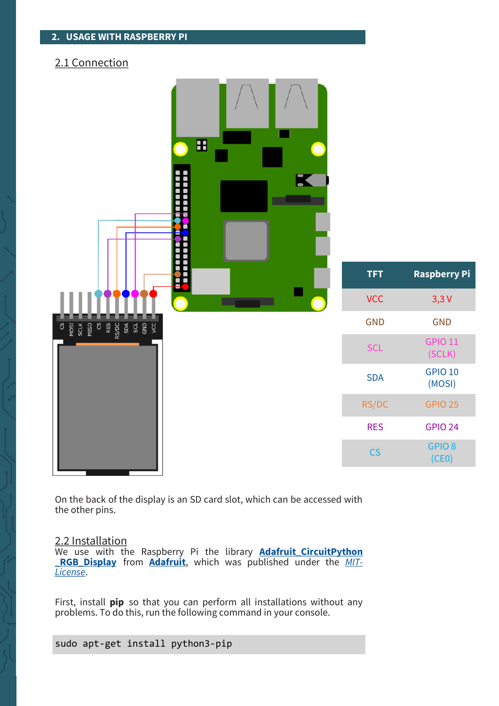# 2.1 Connection

| H<br>K                                                                          |                          |                            |
|---------------------------------------------------------------------------------|--------------------------|----------------------------|
|                                                                                 | <b>TFT</b>               | <b>Raspberry Pi</b>        |
| <b>State of A</b>                                                               | <b>VCC</b>               | 3,3V                       |
| MOSI<br>SCLK<br>NISO<br>RES<br>$\overline{\mathbf{c}}$<br>$\overline{c}$<br>ycc | <b>GND</b>               | <b>GND</b>                 |
|                                                                                 | <b>SCL</b>               | <b>GPIO 11</b><br>(SCLK)   |
|                                                                                 | <b>SDA</b>               | <b>GPIO 10</b><br>(MOSI)   |
|                                                                                 | RS/DC                    | <b>GPIO 25</b>             |
|                                                                                 | <b>RES</b>               | <b>GPIO 24</b>             |
|                                                                                 | $\mathsf{CS}\phantom{0}$ | GPIO <sub>8</sub><br>(CE0) |

On the back of the display is an SD card slot, which can be accessed with the other pins.

# 2.2 Installation

We use with the Raspberry Pi the library **Adafruit CircuitPython [\\_RGB\\_Display](https://github.com/adafruit/Adafruit_CircuitPython_RGB_Display)** from **[Adafruit](https://github.com/adafruit)**, which was published under the *[MIT](https://github.com/adafruit/Adafruit_CircuitPython_RGB_Display/blob/main/LICENSE)-[License](https://github.com/adafruit/Adafruit_CircuitPython_RGB_Display/blob/main/LICENSE)*.

First, install **pip** so that you can perform all installations without any problems. To do this, run the following command in your console.

sudo apt-get install python3-pip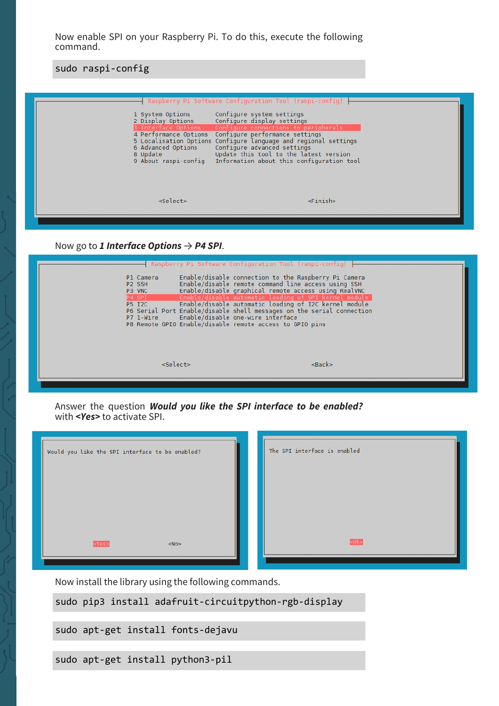Now enable SPI on your Raspberry Pi. To do this, execute the following command.

sudo raspi-config



Now go to *1 Interface Options* → *P4 SPI*.

| P1 Camera<br>P <sub>2</sub> SSH<br>P3 VNC<br>P4 SPI<br><b>P5 I2C</b> | Raspberry Pi Software Configuration Tool (raspi-config)<br>Enable/disable connection to the Raspberry Pi Camera<br>Enable/disable remote command line access using SSH<br>Enable/disable graphical remote access using RealVNC<br>Enable/disable automatic loading of SPI kernel module<br>Enable/disable automatic loading of I2C kernel module<br>P6 Serial Port Enable/disable shell messages on the serial connection<br>P7 1-Wire    Enable/disable one-wire interface<br>P8 Remote GPIO Enable/disable remote access to GPIO pins |             |
|----------------------------------------------------------------------|-----------------------------------------------------------------------------------------------------------------------------------------------------------------------------------------------------------------------------------------------------------------------------------------------------------------------------------------------------------------------------------------------------------------------------------------------------------------------------------------------------------------------------------------|-------------|
|                                                                      | <select></select>                                                                                                                                                                                                                                                                                                                                                                                                                                                                                                                       | $<$ Bac $k$ |

Answer the question *Would you like the SPI interface to be enabled?* with *<Yes>* to activate SPI.



Now install the library using the following commands.

sudo pip3 install adafruit-circuitpython-rgb-display

sudo apt-get install fonts-dejavu

sudo apt-get install python3-pil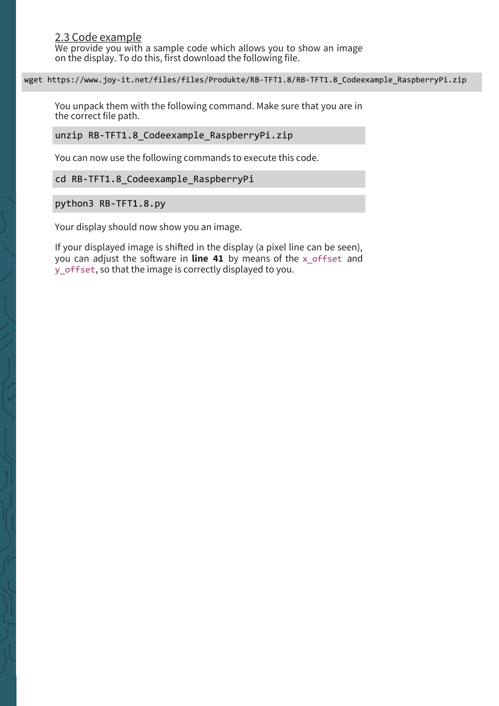#### wget https://www.joy-it.net/files/files/Produkte/RB-TFT1.8/RB-TFT1.8\_Codeexample\_RaspberryPi.zip

You unpack them with the following command. Make sure that you are in the correct file path.

unzip RB-TFT1.8 Codeexample RaspberryPi.zip

You can now use the following commands to execute this code.

cd RB-TFT1.8 Codeexample RaspberryPi

python3 RB-TFT1.8.py

Your display should now show you an image.

If your displayed image is shifted in the display (a pixel line can be seen), you can adjust the software in **line 41** by means of the x\_offset and y\_offset, so that the image is correctly displayed to you.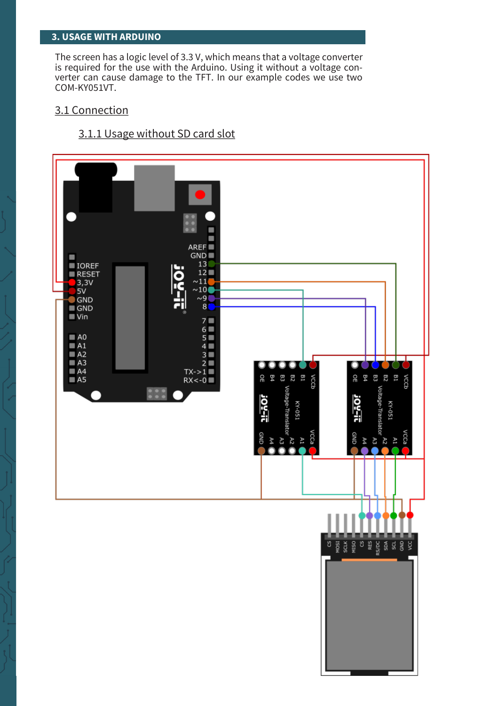### **3. USAGE WITH ARDUINO**

The screen has a logic level of 3.3 V, which means that a voltage converter is required for the use with the Arduino. Using it without a voltage converter can cause damage to the TFT. In our example codes we use two COM-KY051VT.

### 3.1 Connection

# 3.1.1 Usage without SD card slot

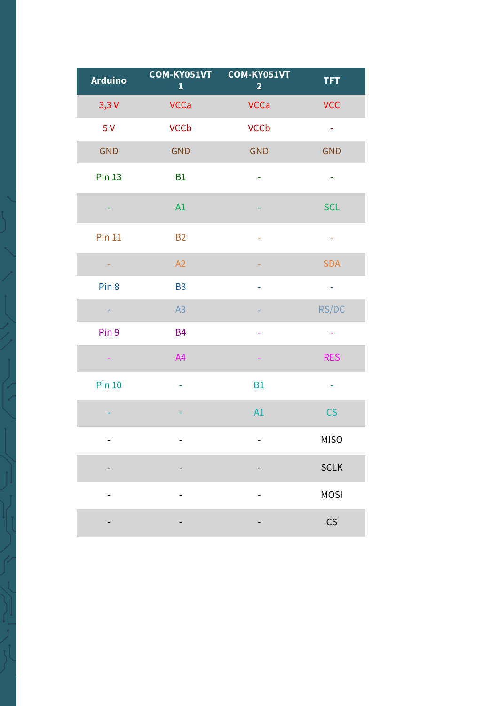| <b>Arduino</b>   | COM-KY051VT<br>$\mathbf{1}$ | COM-KY051VT<br>$\overline{2}$ | <b>TFT</b>           |
|------------------|-----------------------------|-------------------------------|----------------------|
| 3,3V             | <b>VCCa</b>                 | <b>VCCa</b>                   | <b>VCC</b>           |
| 5V               | <b>VCCb</b>                 | <b>VCCb</b>                   | $\frac{1}{\sqrt{2}}$ |
| <b>GND</b>       | <b>GND</b>                  | <b>GND</b>                    | <b>GND</b>           |
| <b>Pin 13</b>    | <b>B1</b>                   | $\equiv$                      | $\equiv$             |
|                  | A1                          |                               | <b>SCL</b>           |
| <b>Pin 11</b>    | <b>B2</b>                   | ÷                             | ÷                    |
|                  | A2                          |                               | <b>SDA</b>           |
| Pin <sub>8</sub> | <b>B3</b>                   | ÷                             | $\frac{1}{2}$        |
| $\sim$           | A3                          |                               | RS/DC                |
| Pin 9            | <b>B4</b>                   | ÷                             | ÷                    |
| Η                | A4                          | ÷                             | <b>RES</b>           |
| <b>Pin 10</b>    | $\equiv$                    | <b>B1</b>                     | ÷,                   |
|                  |                             | A1                            | CS                   |
|                  |                             |                               | <b>MISO</b>          |
|                  |                             |                               | <b>SCLK</b>          |
|                  |                             |                               | <b>MOSI</b>          |
|                  |                             |                               | CS                   |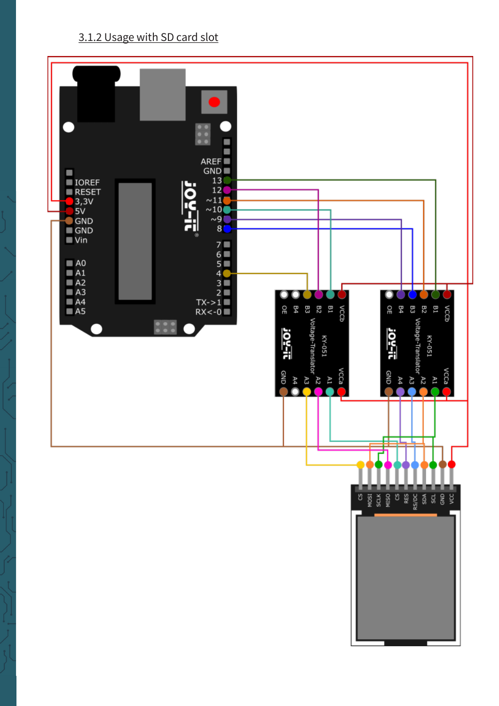# 3.1.2 Usage with SD card slot

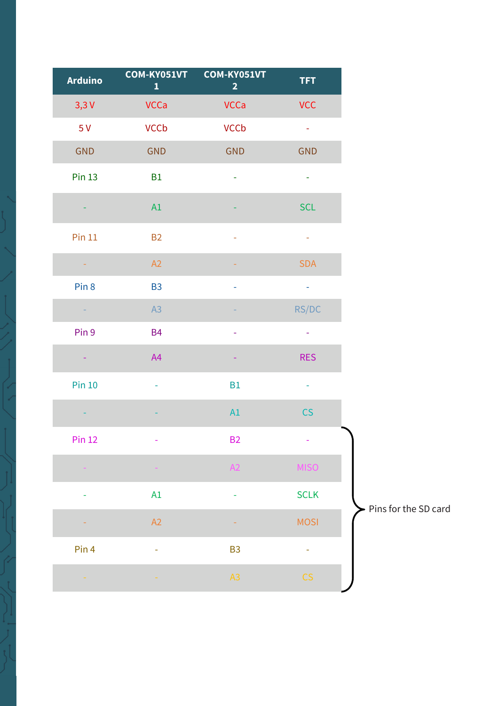| <b>VCC</b><br><b>VCCa</b><br><b>VCCa</b><br>3,3V<br><b>VCCb</b><br><b>VCCb</b><br>5V<br>$\frac{1}{\sqrt{2}}$<br><b>GND</b><br><b>GND</b><br><b>GND</b><br><b>GND</b><br><b>Pin 13</b><br><b>B1</b><br>$\blacksquare$<br>÷,<br><b>SCL</b><br>A1<br>Pin 11<br><b>B2</b><br>÷,<br>ä,<br>A2<br><b>SDA</b><br>Pin <sub>8</sub><br><b>B3</b><br>$\equiv$<br>÷,<br>RS/DC<br>A3<br>Pin 9<br><b>B4</b><br>÷<br><b>RES</b><br>A4<br>÷,<br>÷<br><b>Pin 10</b><br><b>B1</b><br>÷<br>A1<br>CS<br><b>B2</b><br><b>Pin 12</b><br><b>MISO</b><br>A2<br><b>SCLK</b><br>A1<br>÷<br>÷<br><b>MOSI</b><br>A2<br>÷<br>Pin 4<br>B <sub>3</sub><br>÷,<br>÷<br>A3<br>CS | <b>Arduino</b> | COM-KY051VT<br>$\mathbf{1}$ | COM-KY051VT<br>$\overline{2}$ | TFT. |
|------------------------------------------------------------------------------------------------------------------------------------------------------------------------------------------------------------------------------------------------------------------------------------------------------------------------------------------------------------------------------------------------------------------------------------------------------------------------------------------------------------------------------------------------------------------------------------------------------------------------------------------------|----------------|-----------------------------|-------------------------------|------|
|                                                                                                                                                                                                                                                                                                                                                                                                                                                                                                                                                                                                                                                |                |                             |                               |      |
|                                                                                                                                                                                                                                                                                                                                                                                                                                                                                                                                                                                                                                                |                |                             |                               |      |
|                                                                                                                                                                                                                                                                                                                                                                                                                                                                                                                                                                                                                                                |                |                             |                               |      |
|                                                                                                                                                                                                                                                                                                                                                                                                                                                                                                                                                                                                                                                |                |                             |                               |      |
|                                                                                                                                                                                                                                                                                                                                                                                                                                                                                                                                                                                                                                                |                |                             |                               |      |
|                                                                                                                                                                                                                                                                                                                                                                                                                                                                                                                                                                                                                                                |                |                             |                               |      |
|                                                                                                                                                                                                                                                                                                                                                                                                                                                                                                                                                                                                                                                |                |                             |                               |      |
|                                                                                                                                                                                                                                                                                                                                                                                                                                                                                                                                                                                                                                                |                |                             |                               |      |
|                                                                                                                                                                                                                                                                                                                                                                                                                                                                                                                                                                                                                                                |                |                             |                               |      |
|                                                                                                                                                                                                                                                                                                                                                                                                                                                                                                                                                                                                                                                |                |                             |                               |      |
|                                                                                                                                                                                                                                                                                                                                                                                                                                                                                                                                                                                                                                                |                |                             |                               |      |
|                                                                                                                                                                                                                                                                                                                                                                                                                                                                                                                                                                                                                                                |                |                             |                               |      |
|                                                                                                                                                                                                                                                                                                                                                                                                                                                                                                                                                                                                                                                |                |                             |                               |      |
|                                                                                                                                                                                                                                                                                                                                                                                                                                                                                                                                                                                                                                                |                |                             |                               |      |
|                                                                                                                                                                                                                                                                                                                                                                                                                                                                                                                                                                                                                                                |                |                             |                               |      |
|                                                                                                                                                                                                                                                                                                                                                                                                                                                                                                                                                                                                                                                |                |                             |                               |      |
|                                                                                                                                                                                                                                                                                                                                                                                                                                                                                                                                                                                                                                                |                |                             |                               |      |
|                                                                                                                                                                                                                                                                                                                                                                                                                                                                                                                                                                                                                                                |                |                             |                               |      |
|                                                                                                                                                                                                                                                                                                                                                                                                                                                                                                                                                                                                                                                |                |                             |                               |      |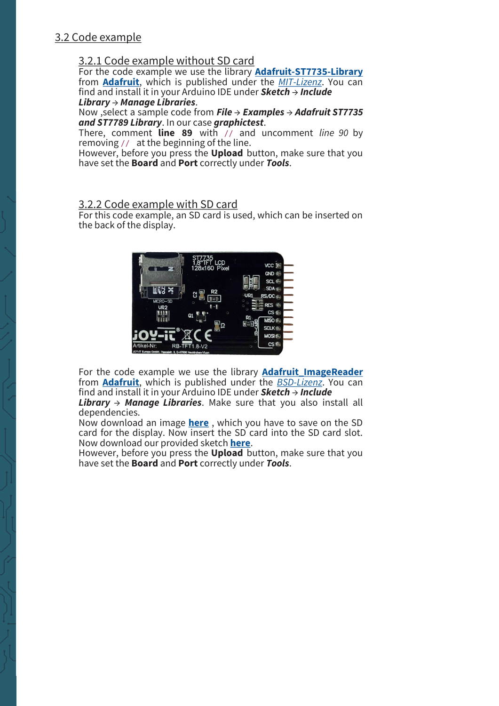# 3.2 Code example

## 3.2.1 Code example without SD card

For the code example we use the library **[Adafruit](https://github.com/adafruit/Adafruit-ST7735-Library)-ST7735-Library** from **[Adafruit](https://github.com/adafruit/)**, which is published under the *MIT-[Lizenz](https://github.com/adafruit/Adafruit-ST7735-Library/blob/master/README.txt)*. You can find and install it in your Arduino IDE under *Sketch* → *Include Library* → *Manage Libraries*.

Now ,select a sample code from *File* → *Examples* → *Adafruit ST7735 and ST7789 Library*. In our case *graphictest*.

There, comment **line 89** with // and uncomment *line 90* by removing // at the beginning of the line.

However, before you press the **Upload** button, make sure that you have set the **Board** and **Port** correctly under *Tools*.

## 3.2.2 Code example with SD card

For this code example, an SD card is used, which can be inserted on the back of the display.



For the code example we use the library **Adafruit ImageReader** from **[Adafruit](https://github.com/adafruit/)**, which is published under the *BSD-[Lizenz](https://opensource.org/licenses/BSD-3-Clause)*. You can find and install it in your Arduino IDE under *Sketch* → *Include* 

*Library* → *Manage Libraries*. Make sure that you also install all dependencies.

Now download an image **[here](https://www.joy-it.net/files/files/Produkte/RB-TFT1.8/joyit-fox.bmp)** , which you have to save on the SD card for the display. Now insert the SD card into the SD card slot. Now download our provided sketch **[here](https://www.joy-it.net/files/files/Produkte/RB-TFT1.8/RB-TFT1.8_Codeexample_ArduinoSD.zip)**.

However, before you press the **Upload** button, make sure that you have set the **Board** and **Port** correctly under *Tools*.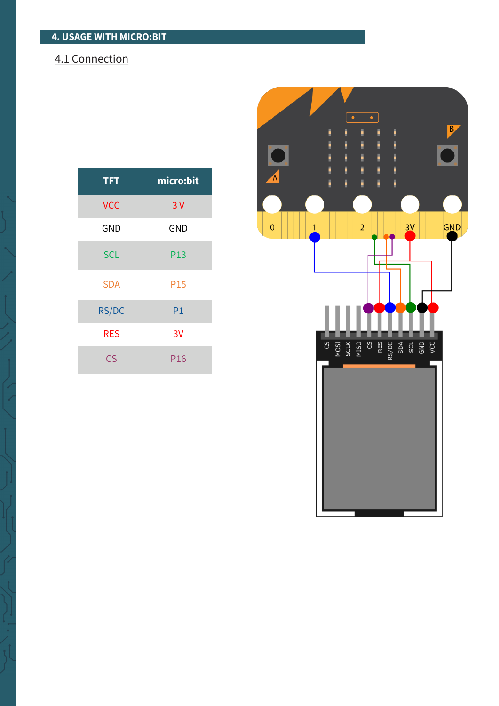# 4.1 Connection

| <b>TFT</b>               | micro:bit       |  |
|--------------------------|-----------------|--|
| <b>VCC</b>               | 3V              |  |
| <b>GND</b>               | <b>GND</b>      |  |
| <b>SCL</b>               | P13             |  |
| <b>SDA</b>               | P <sub>15</sub> |  |
| RS/DC                    | P1              |  |
| <b>RES</b>               | 3V              |  |
| $\overline{\mathsf{CS}}$ | P <sub>16</sub> |  |

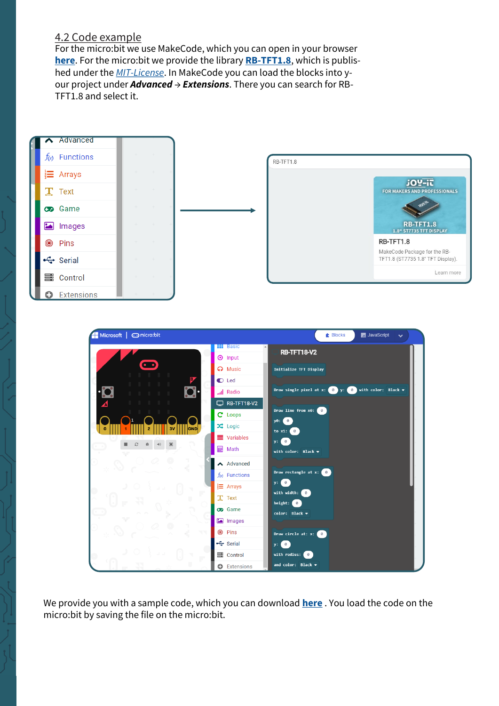## 4.2 Code example

For the micro:bit we use MakeCode, which you can open in your browser **[here](https://makecode.microbit.org/)**. For the micro:bit we provide the library **RB-[TFT1.8](https://github.com/joy-it/pxt-rb-tft1.8)**, which is published under the *MIT-[License](https://github.com/joy-it/SEN-MPU6050/blob/main/LICENSE.md)*. In MakeCode you can load the blocks into your project under *Advanced* → *Extensions*. There you can search for RB-TFT1.8 and select it.



We provide you with a sample code, which you can download **[here](https://www.joy-it.net/files/files/Produkte/RB-TFT1.8/RB-TFT1.8_Codeexample_microbit.hex)** . You load the code on the micro:bit by saving the file on the micro:bit.